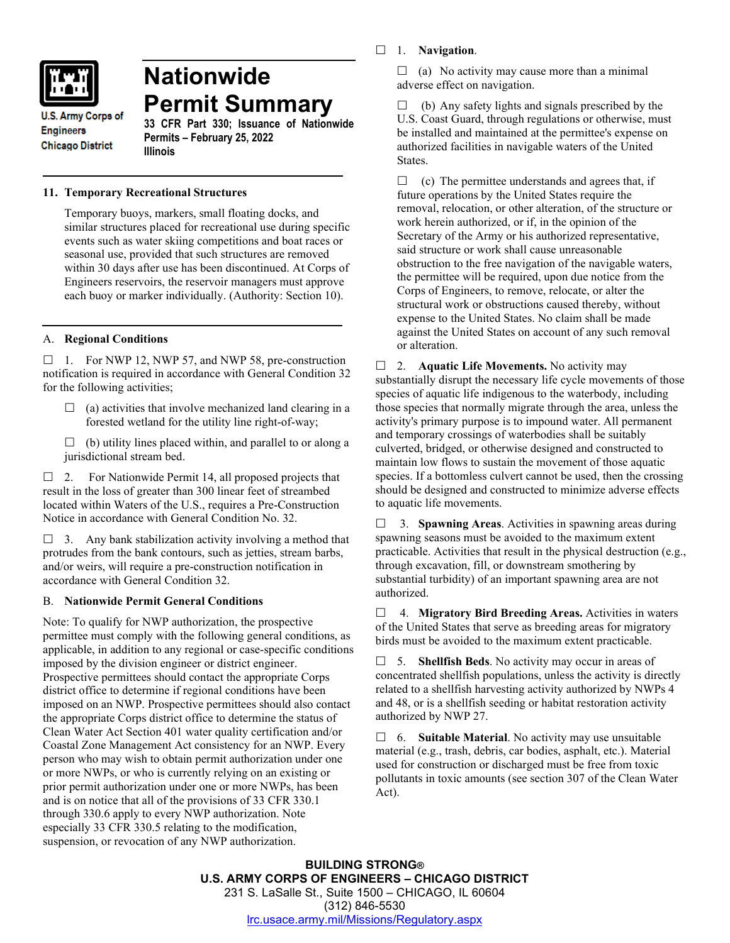

# **Nationwide Permit Summary**

**U.S. Army Corps of Engineers Chicago District** 

**33 CFR Part 330; Issuance of Nationwide Permits – February 25, 2022 Illinois**

# **11. Temporary Recreational Structures**

Temporary buoys, markers, small floating docks, and similar structures placed for recreational use during specific events such as water skiing competitions and boat races or seasonal use, provided that such structures are removed within 30 days after use has been discontinued. At Corps of Engineers reservoirs, the reservoir managers must approve each buoy or marker individually. (Authority: Section 10).

# A. **Regional Conditions**

 $\Box$  1. For NWP 12, NWP 57, and NWP 58, pre-construction notification is required in accordance with General Condition 32 for the following activities;

- $\Box$  (a) activities that involve mechanized land clearing in a forested wetland for the utility line right-of-way;
- $\Box$  (b) utility lines placed within, and parallel to or along a jurisdictional stream bed.

 $\Box$  2. For Nationwide Permit 14, all proposed projects that result in the loss of greater than 300 linear feet of streambed located within Waters of the U.S., requires a Pre-Construction Notice in accordance with General Condition No. 32.

 $\Box$  3. Any bank stabilization activity involving a method that protrudes from the bank contours, such as jetties, stream barbs, and/or weirs, will require a pre-construction notification in accordance with General Condition 32.

# B. **Nationwide Permit General Conditions**

Note: To qualify for NWP authorization, the prospective permittee must comply with the following general conditions, as applicable, in addition to any regional or case-specific conditions imposed by the division engineer or district engineer. Prospective permittees should contact the appropriate Corps district office to determine if regional conditions have been imposed on an NWP. Prospective permittees should also contact the appropriate Corps district office to determine the status of Clean Water Act Section 401 water quality certification and/or Coastal Zone Management Act consistency for an NWP. Every person who may wish to obtain permit authorization under one or more NWPs, or who is currently relying on an existing or prior permit authorization under one or more NWPs, has been and is on notice that all of the provisions of 33 CFR 330.1 through 330.6 apply to every NWP authorization. Note especially 33 CFR 330.5 relating to the modification, suspension, or revocation of any NWP authorization.

1. **Navigation**.

 $\Box$  (a) No activity may cause more than a minimal adverse effect on navigation.

 $\Box$  (b) Any safety lights and signals prescribed by the U.S. Coast Guard, through regulations or otherwise, must be installed and maintained at the permittee's expense on authorized facilities in navigable waters of the United States.

 $\Box$  (c) The permittee understands and agrees that, if future operations by the United States require the removal, relocation, or other alteration, of the structure or work herein authorized, or if, in the opinion of the Secretary of the Army or his authorized representative, said structure or work shall cause unreasonable obstruction to the free navigation of the navigable waters, the permittee will be required, upon due notice from the Corps of Engineers, to remove, relocate, or alter the structural work or obstructions caused thereby, without expense to the United States. No claim shall be made against the United States on account of any such removal or alteration.

□ 2. **Aquatic Life Movements.** No activity may substantially disrupt the necessary life cycle movements of those species of aquatic life indigenous to the waterbody, including those species that normally migrate through the area, unless the activity's primary purpose is to impound water. All permanent and temporary crossings of waterbodies shall be suitably culverted, bridged, or otherwise designed and constructed to maintain low flows to sustain the movement of those aquatic species. If a bottomless culvert cannot be used, then the crossing should be designed and constructed to minimize adverse effects to aquatic life movements.

 3. **Spawning Areas**. Activities in spawning areas during spawning seasons must be avoided to the maximum extent practicable. Activities that result in the physical destruction (e.g., through excavation, fill, or downstream smothering by substantial turbidity) of an important spawning area are not authorized.

 4. **Migratory Bird Breeding Areas.** Activities in waters of the United States that serve as breeding areas for migratory birds must be avoided to the maximum extent practicable.

 5. **Shellfish Beds**. No activity may occur in areas of concentrated shellfish populations, unless the activity is directly related to a shellfish harvesting activity authorized by NWPs 4 and 48, or is a shellfish seeding or habitat restoration activity authorized by NWP 27.

 6. **Suitable Material**. No activity may use unsuitable material (e.g., trash, debris, car bodies, asphalt, etc.). Material used for construction or discharged must be free from toxic pollutants in toxic amounts (see section 307 of the Clean Water Act).

**BUILDING STRONG® U.S. ARMY CORPS OF ENGINEERS – CHICAGO DISTRICT** 231 S. LaSalle St., Suite 1500 – CHICAGO, IL 60604 (312) 846-5530 [lrc.usace.army.mil/Missions/Regulatory.aspx](https://www.lrc.usace.army.mil/Missions/Regulatory.aspx)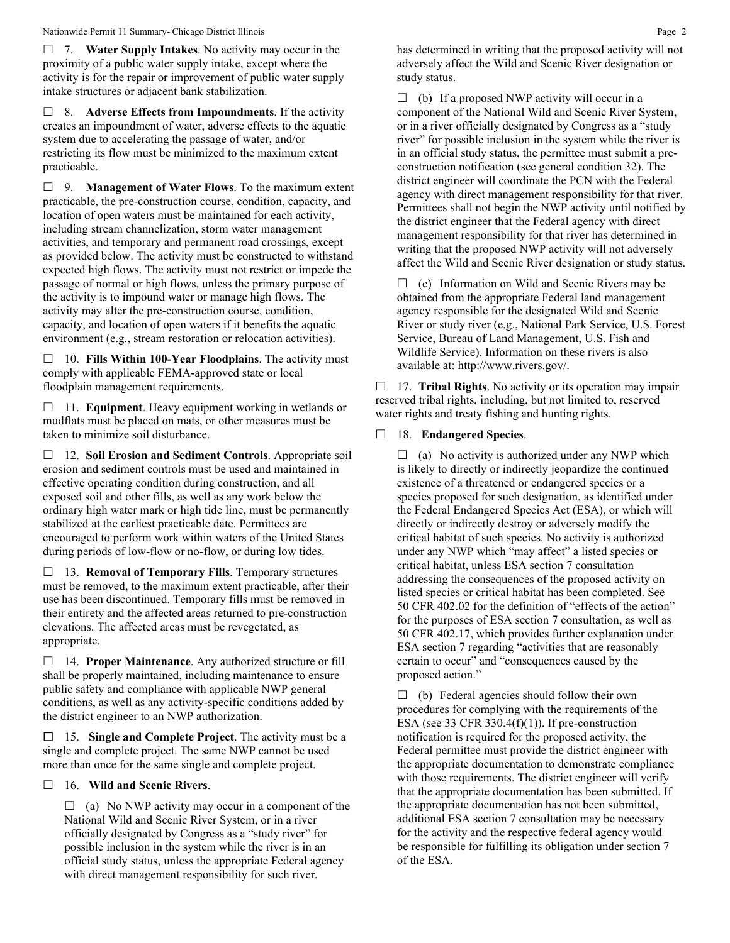7. **Water Supply Intakes**. No activity may occur in the proximity of a public water supply intake, except where the activity is for the repair or improvement of public water supply intake structures or adjacent bank stabilization.

 8. **Adverse Effects from Impoundments**. If the activity creates an impoundment of water, adverse effects to the aquatic system due to accelerating the passage of water, and/or restricting its flow must be minimized to the maximum extent practicable.

 9. **Management of Water Flows**. To the maximum extent practicable, the pre-construction course, condition, capacity, and location of open waters must be maintained for each activity, including stream channelization, storm water management activities, and temporary and permanent road crossings, except as provided below. The activity must be constructed to withstand expected high flows. The activity must not restrict or impede the passage of normal or high flows, unless the primary purpose of the activity is to impound water or manage high flows. The activity may alter the pre-construction course, condition, capacity, and location of open waters if it benefits the aquatic environment (e.g., stream restoration or relocation activities).

 10. **Fills Within 100-Year Floodplains**. The activity must comply with applicable FEMA-approved state or local floodplain management requirements.

□ 11. **Equipment**. Heavy equipment working in wetlands or mudflats must be placed on mats, or other measures must be taken to minimize soil disturbance.

 12. **Soil Erosion and Sediment Controls**. Appropriate soil erosion and sediment controls must be used and maintained in effective operating condition during construction, and all exposed soil and other fills, as well as any work below the ordinary high water mark or high tide line, must be permanently stabilized at the earliest practicable date. Permittees are encouraged to perform work within waters of the United States during periods of low-flow or no-flow, or during low tides.

 13. **Removal of Temporary Fills**. Temporary structures must be removed, to the maximum extent practicable, after their use has been discontinued. Temporary fills must be removed in their entirety and the affected areas returned to pre-construction elevations. The affected areas must be revegetated, as appropriate.

 14. **Proper Maintenance**. Any authorized structure or fill shall be properly maintained, including maintenance to ensure public safety and compliance with applicable NWP general conditions, as well as any activity-specific conditions added by the district engineer to an NWP authorization.

 15. **Single and Complete Project**. The activity must be a single and complete project. The same NWP cannot be used more than once for the same single and complete project.

## 16. **Wild and Scenic Rivers**.

 $\Box$  (a) No NWP activity may occur in a component of the National Wild and Scenic River System, or in a river officially designated by Congress as a "study river" for possible inclusion in the system while the river is in an official study status, unless the appropriate Federal agency with direct management responsibility for such river,

has determined in writing that the proposed activity will not adversely affect the Wild and Scenic River designation or study status.

 $\Box$  (b) If a proposed NWP activity will occur in a component of the National Wild and Scenic River System, or in a river officially designated by Congress as a "study river" for possible inclusion in the system while the river is in an official study status, the permittee must submit a preconstruction notification (see general condition 32). The district engineer will coordinate the PCN with the Federal agency with direct management responsibility for that river. Permittees shall not begin the NWP activity until notified by the district engineer that the Federal agency with direct management responsibility for that river has determined in writing that the proposed NWP activity will not adversely affect the Wild and Scenic River designation or study status.

 $\Box$  (c) Information on Wild and Scenic Rivers may be obtained from the appropriate Federal land management agency responsible for the designated Wild and Scenic River or study river (e.g., National Park Service, U.S. Forest Service, Bureau of Land Management, U.S. Fish and Wildlife Service). Information on these rivers is also available at: http://www.rivers.gov/.

 17. **Tribal Rights**. No activity or its operation may impair reserved tribal rights, including, but not limited to, reserved water rights and treaty fishing and hunting rights.

## 18. **Endangered Species**.

 $\Box$  (a) No activity is authorized under any NWP which is likely to directly or indirectly jeopardize the continued existence of a threatened or endangered species or a species proposed for such designation, as identified under the Federal Endangered Species Act (ESA), or which will directly or indirectly destroy or adversely modify the critical habitat of such species. No activity is authorized under any NWP which "may affect" a listed species or critical habitat, unless ESA section 7 consultation addressing the consequences of the proposed activity on listed species or critical habitat has been completed. See 50 CFR 402.02 for the definition of "effects of the action" for the purposes of ESA section 7 consultation, as well as 50 CFR 402.17, which provides further explanation under ESA section 7 regarding "activities that are reasonably certain to occur" and "consequences caused by the proposed action."

 $\Box$  (b) Federal agencies should follow their own procedures for complying with the requirements of the ESA (see 33 CFR 330.4 $(f)(1)$ ). If pre-construction notification is required for the proposed activity, the Federal permittee must provide the district engineer with the appropriate documentation to demonstrate compliance with those requirements. The district engineer will verify that the appropriate documentation has been submitted. If the appropriate documentation has not been submitted, additional ESA section 7 consultation may be necessary for the activity and the respective federal agency would be responsible for fulfilling its obligation under section 7 of the ESA.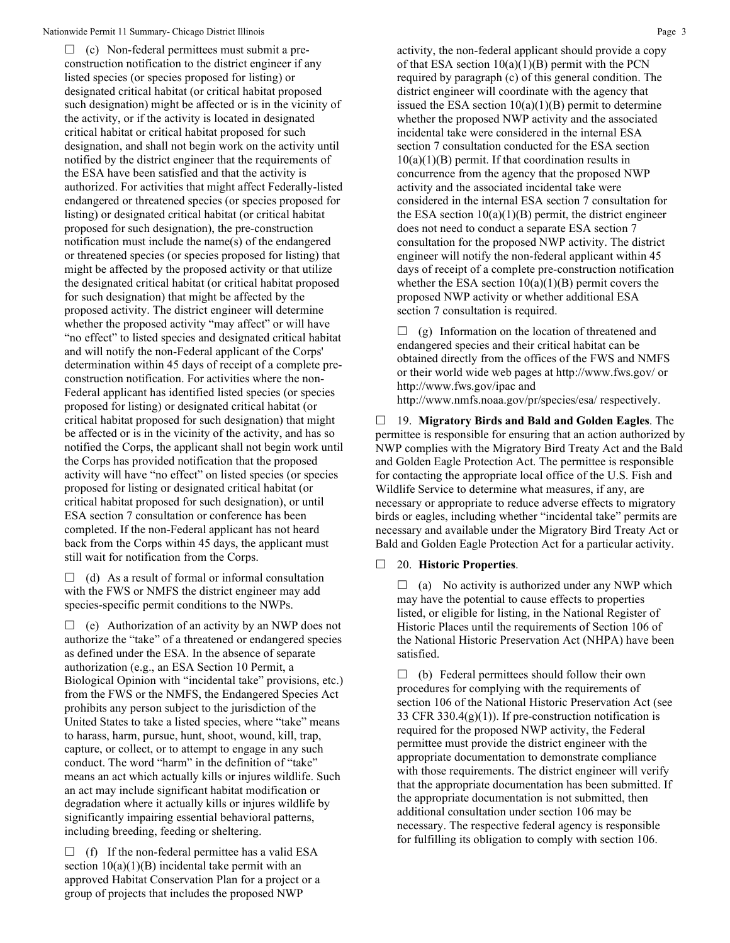$\Box$  (c) Non-federal permittees must submit a preconstruction notification to the district engineer if any listed species (or species proposed for listing) or designated critical habitat (or critical habitat proposed such designation) might be affected or is in the vicinity of the activity, or if the activity is located in designated critical habitat or critical habitat proposed for such designation, and shall not begin work on the activity until notified by the district engineer that the requirements of the ESA have been satisfied and that the activity is authorized. For activities that might affect Federally-listed endangered or threatened species (or species proposed for listing) or designated critical habitat (or critical habitat proposed for such designation), the pre-construction notification must include the name(s) of the endangered or threatened species (or species proposed for listing) that might be affected by the proposed activity or that utilize the designated critical habitat (or critical habitat proposed for such designation) that might be affected by the proposed activity. The district engineer will determine whether the proposed activity "may affect" or will have "no effect" to listed species and designated critical habitat and will notify the non-Federal applicant of the Corps' determination within 45 days of receipt of a complete preconstruction notification. For activities where the non-Federal applicant has identified listed species (or species proposed for listing) or designated critical habitat (or critical habitat proposed for such designation) that might be affected or is in the vicinity of the activity, and has so notified the Corps, the applicant shall not begin work until the Corps has provided notification that the proposed activity will have "no effect" on listed species (or species proposed for listing or designated critical habitat (or critical habitat proposed for such designation), or until ESA section 7 consultation or conference has been completed. If the non-Federal applicant has not heard back from the Corps within 45 days, the applicant must still wait for notification from the Corps.

 $\Box$  (d) As a result of formal or informal consultation with the FWS or NMFS the district engineer may add species-specific permit conditions to the NWPs.

 $\Box$  (e) Authorization of an activity by an NWP does not authorize the "take" of a threatened or endangered species as defined under the ESA. In the absence of separate authorization (e.g., an ESA Section 10 Permit, a Biological Opinion with "incidental take" provisions, etc.) from the FWS or the NMFS, the Endangered Species Act prohibits any person subject to the jurisdiction of the United States to take a listed species, where "take" means to harass, harm, pursue, hunt, shoot, wound, kill, trap, capture, or collect, or to attempt to engage in any such conduct. The word "harm" in the definition of "take" means an act which actually kills or injures wildlife. Such an act may include significant habitat modification or degradation where it actually kills or injures wildlife by significantly impairing essential behavioral patterns, including breeding, feeding or sheltering.

 $\Box$  (f) If the non-federal permittee has a valid ESA section  $10(a)(1)(B)$  incidental take permit with an approved Habitat Conservation Plan for a project or a group of projects that includes the proposed NWP

activity, the non-federal applicant should provide a copy of that ESA section  $10(a)(1)(B)$  permit with the PCN required by paragraph (c) of this general condition. The district engineer will coordinate with the agency that issued the ESA section  $10(a)(1)(B)$  permit to determine whether the proposed NWP activity and the associated incidental take were considered in the internal ESA section 7 consultation conducted for the ESA section  $10(a)(1)(B)$  permit. If that coordination results in concurrence from the agency that the proposed NWP activity and the associated incidental take were considered in the internal ESA section 7 consultation for the ESA section  $10(a)(1)(B)$  permit, the district engineer does not need to conduct a separate ESA section 7 consultation for the proposed NWP activity. The district engineer will notify the non-federal applicant within 45 days of receipt of a complete pre-construction notification whether the ESA section  $10(a)(1)(B)$  permit covers the proposed NWP activity or whether additional ESA section 7 consultation is required.

 $\Box$  (g) Information on the location of threatened and endangered species and their critical habitat can be obtained directly from the offices of the FWS and NMFS or their world wide web pages at http://www.fws.gov/ or http://www.fws.gov/ipac and

http://www.nmfs.noaa.gov/pr/species/esa/ respectively.

 19. **Migratory Birds and Bald and Golden Eagles**. The permittee is responsible for ensuring that an action authorized by NWP complies with the Migratory Bird Treaty Act and the Bald and Golden Eagle Protection Act. The permittee is responsible for contacting the appropriate local office of the U.S. Fish and Wildlife Service to determine what measures, if any, are necessary or appropriate to reduce adverse effects to migratory birds or eagles, including whether "incidental take" permits are necessary and available under the Migratory Bird Treaty Act or Bald and Golden Eagle Protection Act for a particular activity.

## 20. **Historic Properties**.

 $\Box$  (a) No activity is authorized under any NWP which may have the potential to cause effects to properties listed, or eligible for listing, in the National Register of Historic Places until the requirements of Section 106 of the National Historic Preservation Act (NHPA) have been satisfied.

 $\Box$  (b) Federal permittees should follow their own procedures for complying with the requirements of section 106 of the National Historic Preservation Act (see 33 CFR 330.4 $(g)(1)$ ). If pre-construction notification is required for the proposed NWP activity, the Federal permittee must provide the district engineer with the appropriate documentation to demonstrate compliance with those requirements. The district engineer will verify that the appropriate documentation has been submitted. If the appropriate documentation is not submitted, then additional consultation under section 106 may be necessary. The respective federal agency is responsible for fulfilling its obligation to comply with section 106.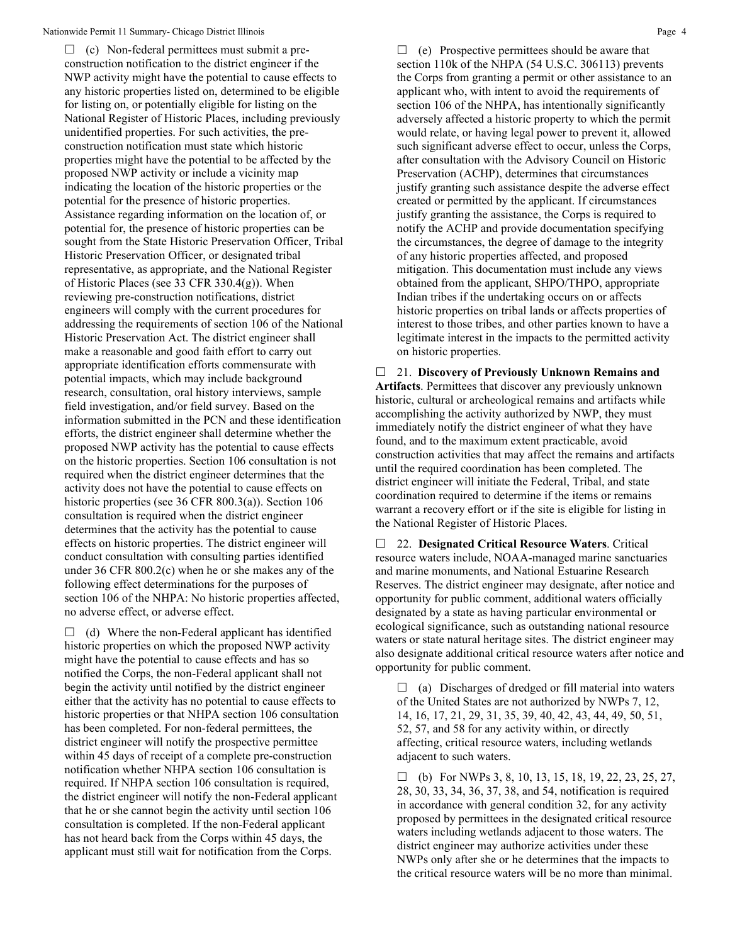$\Box$  (c) Non-federal permittees must submit a preconstruction notification to the district engineer if the NWP activity might have the potential to cause effects to any historic properties listed on, determined to be eligible for listing on, or potentially eligible for listing on the National Register of Historic Places, including previously unidentified properties. For such activities, the preconstruction notification must state which historic properties might have the potential to be affected by the proposed NWP activity or include a vicinity map indicating the location of the historic properties or the potential for the presence of historic properties. Assistance regarding information on the location of, or potential for, the presence of historic properties can be sought from the State Historic Preservation Officer, Tribal Historic Preservation Officer, or designated tribal representative, as appropriate, and the National Register of Historic Places (see 33 CFR 330.4(g)). When reviewing pre-construction notifications, district engineers will comply with the current procedures for addressing the requirements of section 106 of the National Historic Preservation Act. The district engineer shall make a reasonable and good faith effort to carry out appropriate identification efforts commensurate with potential impacts, which may include background research, consultation, oral history interviews, sample field investigation, and/or field survey. Based on the information submitted in the PCN and these identification efforts, the district engineer shall determine whether the proposed NWP activity has the potential to cause effects on the historic properties. Section 106 consultation is not required when the district engineer determines that the activity does not have the potential to cause effects on historic properties (see 36 CFR 800.3(a)). Section 106 consultation is required when the district engineer determines that the activity has the potential to cause effects on historic properties. The district engineer will conduct consultation with consulting parties identified under 36 CFR 800.2(c) when he or she makes any of the following effect determinations for the purposes of section 106 of the NHPA: No historic properties affected, no adverse effect, or adverse effect.

 $\Box$  (d) Where the non-Federal applicant has identified historic properties on which the proposed NWP activity might have the potential to cause effects and has so notified the Corps, the non-Federal applicant shall not begin the activity until notified by the district engineer either that the activity has no potential to cause effects to historic properties or that NHPA section 106 consultation has been completed. For non-federal permittees, the district engineer will notify the prospective permittee within 45 days of receipt of a complete pre-construction notification whether NHPA section 106 consultation is required. If NHPA section 106 consultation is required, the district engineer will notify the non-Federal applicant that he or she cannot begin the activity until section 106 consultation is completed. If the non-Federal applicant has not heard back from the Corps within 45 days, the applicant must still wait for notification from the Corps.

 $\Box$  (e) Prospective permittees should be aware that section 110k of the NHPA (54 U.S.C. 306113) prevents the Corps from granting a permit or other assistance to an applicant who, with intent to avoid the requirements of section 106 of the NHPA, has intentionally significantly adversely affected a historic property to which the permit would relate, or having legal power to prevent it, allowed such significant adverse effect to occur, unless the Corps, after consultation with the Advisory Council on Historic Preservation (ACHP), determines that circumstances justify granting such assistance despite the adverse effect created or permitted by the applicant. If circumstances justify granting the assistance, the Corps is required to notify the ACHP and provide documentation specifying the circumstances, the degree of damage to the integrity of any historic properties affected, and proposed mitigation. This documentation must include any views obtained from the applicant, SHPO/THPO, appropriate Indian tribes if the undertaking occurs on or affects historic properties on tribal lands or affects properties of interest to those tribes, and other parties known to have a legitimate interest in the impacts to the permitted activity on historic properties.

 21. **Discovery of Previously Unknown Remains and Artifacts**. Permittees that discover any previously unknown historic, cultural or archeological remains and artifacts while accomplishing the activity authorized by NWP, they must immediately notify the district engineer of what they have found, and to the maximum extent practicable, avoid construction activities that may affect the remains and artifacts until the required coordination has been completed. The district engineer will initiate the Federal, Tribal, and state coordination required to determine if the items or remains warrant a recovery effort or if the site is eligible for listing in the National Register of Historic Places.

 22. **Designated Critical Resource Waters**. Critical resource waters include, NOAA-managed marine sanctuaries and marine monuments, and National Estuarine Research Reserves. The district engineer may designate, after notice and opportunity for public comment, additional waters officially designated by a state as having particular environmental or ecological significance, such as outstanding national resource waters or state natural heritage sites. The district engineer may also designate additional critical resource waters after notice and opportunity for public comment.

 $\Box$  (a) Discharges of dredged or fill material into waters of the United States are not authorized by NWPs 7, 12, 14, 16, 17, 21, 29, 31, 35, 39, 40, 42, 43, 44, 49, 50, 51, 52, 57, and 58 for any activity within, or directly affecting, critical resource waters, including wetlands adjacent to such waters.

 $\Box$  (b) For NWPs 3, 8, 10, 13, 15, 18, 19, 22, 23, 25, 27, 28, 30, 33, 34, 36, 37, 38, and 54, notification is required in accordance with general condition 32, for any activity proposed by permittees in the designated critical resource waters including wetlands adjacent to those waters. The district engineer may authorize activities under these NWPs only after she or he determines that the impacts to the critical resource waters will be no more than minimal.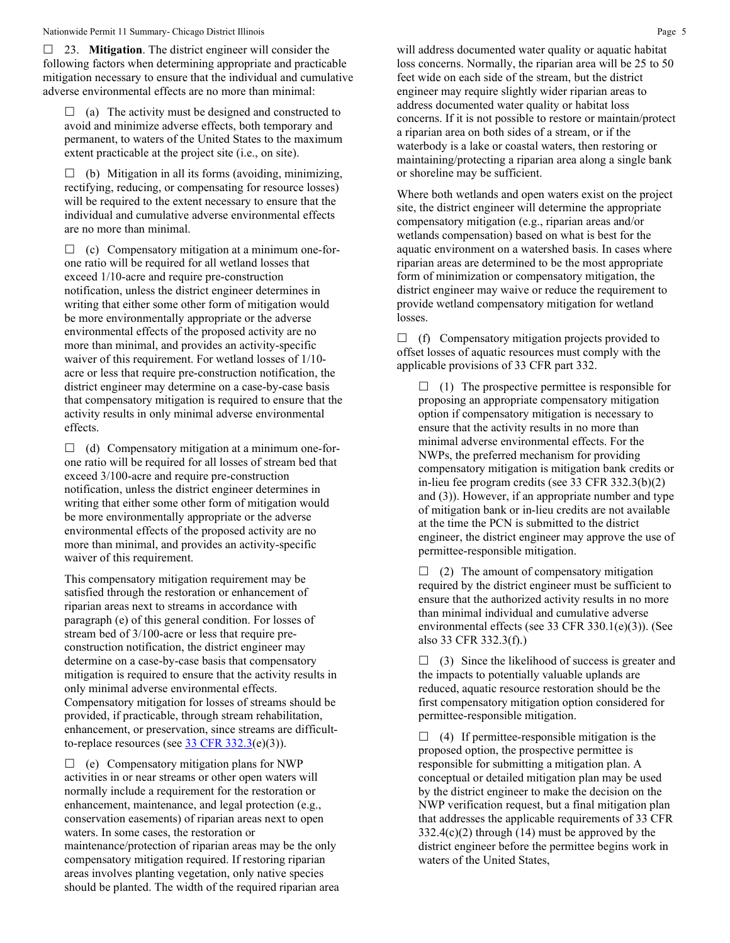23. **Mitigation**. The district engineer will consider the following factors when determining appropriate and practicable mitigation necessary to ensure that the individual and cumulative adverse environmental effects are no more than minimal:

 $\Box$  (a) The activity must be designed and constructed to avoid and minimize adverse effects, both temporary and permanent, to waters of the United States to the maximum extent practicable at the project site (i.e., on site).

 $\Box$  (b) Mitigation in all its forms (avoiding, minimizing, rectifying, reducing, or compensating for resource losses) will be required to the extent necessary to ensure that the individual and cumulative adverse environmental effects are no more than minimal.

 $\Box$  (c) Compensatory mitigation at a minimum one-forone ratio will be required for all wetland losses that exceed 1/10-acre and require pre-construction notification, unless the district engineer determines in writing that either some other form of mitigation would be more environmentally appropriate or the adverse environmental effects of the proposed activity are no more than minimal, and provides an activity-specific waiver of this requirement. For wetland losses of 1/10 acre or less that require pre-construction notification, the district engineer may determine on a case-by-case basis that compensatory mitigation is required to ensure that the activity results in only minimal adverse environmental effects.

 $\Box$  (d) Compensatory mitigation at a minimum one-forone ratio will be required for all losses of stream bed that exceed 3/100-acre and require pre-construction notification, unless the district engineer determines in writing that either some other form of mitigation would be more environmentally appropriate or the adverse environmental effects of the proposed activity are no more than minimal, and provides an activity-specific waiver of this requirement.

This compensatory mitigation requirement may be satisfied through the restoration or enhancement of riparian areas next to streams in accordance with paragraph (e) of this general condition. For losses of stream bed of 3/100-acre or less that require preconstruction notification, the district engineer may determine on a case-by-case basis that compensatory mitigation is required to ensure that the activity results in only minimal adverse environmental effects. Compensatory mitigation for losses of streams should be provided, if practicable, through stream rehabilitation, enhancement, or preservation, since streams are difficultto-replace resources (see  $33 \text{ CFR } 332.3(e)(3)$ ).

 $\Box$  (e) Compensatory mitigation plans for NWP activities in or near streams or other open waters will normally include a requirement for the restoration or enhancement, maintenance, and legal protection (e.g., conservation easements) of riparian areas next to open waters. In some cases, the restoration or maintenance/protection of riparian areas may be the only compensatory mitigation required. If restoring riparian areas involves planting vegetation, only native species should be planted. The width of the required riparian area will address documented water quality or aquatic habitat loss concerns. Normally, the riparian area will be 25 to 50 feet wide on each side of the stream, but the district engineer may require slightly wider riparian areas to address documented water quality or habitat loss concerns. If it is not possible to restore or maintain/protect a riparian area on both sides of a stream, or if the waterbody is a lake or coastal waters, then restoring or maintaining/protecting a riparian area along a single bank or shoreline may be sufficient.

Where both wetlands and open waters exist on the project site, the district engineer will determine the appropriate compensatory mitigation (e.g., riparian areas and/or wetlands compensation) based on what is best for the aquatic environment on a watershed basis. In cases where riparian areas are determined to be the most appropriate form of minimization or compensatory mitigation, the district engineer may waive or reduce the requirement to provide wetland compensatory mitigation for wetland losses.

 $\Box$  (f) Compensatory mitigation projects provided to offset losses of aquatic resources must comply with the applicable provisions of 33 CFR part 332.

 $\Box$  (1) The prospective permittee is responsible for proposing an appropriate compensatory mitigation option if compensatory mitigation is necessary to ensure that the activity results in no more than minimal adverse environmental effects. For the NWPs, the preferred mechanism for providing compensatory mitigation is mitigation bank credits or in-lieu fee program credits (see 33 CFR 332.3(b)(2) and (3)). However, if an appropriate number and type of mitigation bank or in-lieu credits are not available at the time the PCN is submitted to the district engineer, the district engineer may approve the use of permittee-responsible mitigation.

 $\Box$  (2) The amount of compensatory mitigation required by the district engineer must be sufficient to ensure that the authorized activity results in no more than minimal individual and cumulative adverse environmental effects (see 33 CFR 330.1(e)(3)). (See also 33 CFR 332.3(f).)

 $\Box$  (3) Since the likelihood of success is greater and the impacts to potentially valuable uplands are reduced, aquatic resource restoration should be the first compensatory mitigation option considered for permittee-responsible mitigation.

 $\Box$  (4) If permittee-responsible mitigation is the proposed option, the prospective permittee is responsible for submitting a mitigation plan. A conceptual or detailed mitigation plan may be used by the district engineer to make the decision on the NWP verification request, but a final mitigation plan that addresses the applicable requirements of 33 CFR  $332.4(c)(2)$  through (14) must be approved by the district engineer before the permittee begins work in waters of the United States,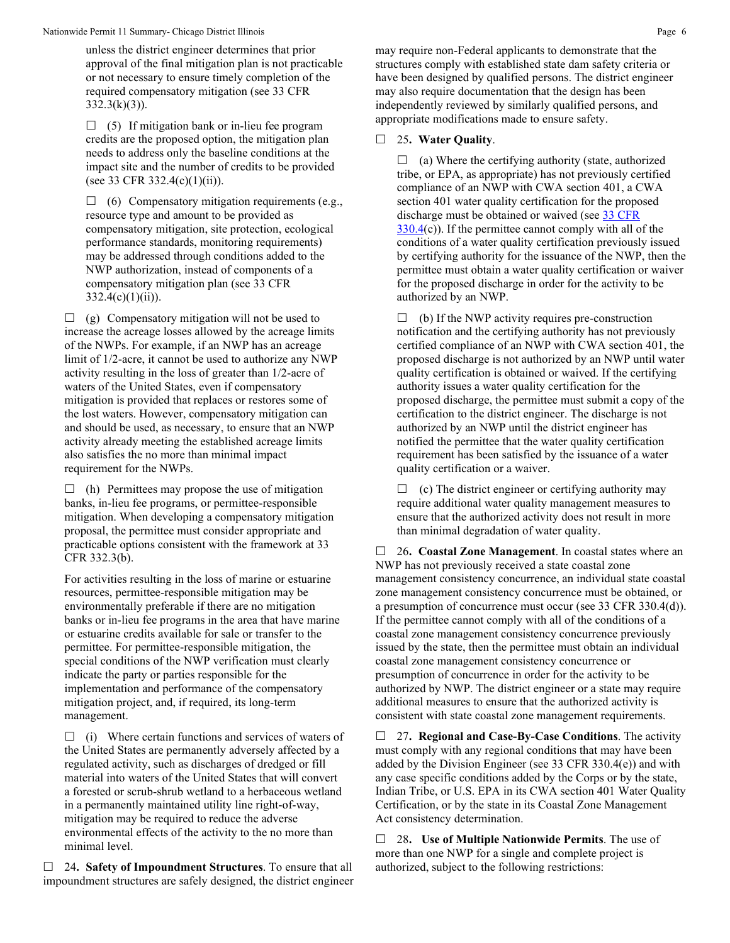unless the district engineer determines that prior approval of the final mitigation plan is not practicable or not necessary to ensure timely completion of the required compensatory mitigation (see 33 CFR  $332.3(k)(3)$ ).

 $\Box$  (5) If mitigation bank or in-lieu fee program credits are the proposed option, the mitigation plan needs to address only the baseline conditions at the impact site and the number of credits to be provided (see 33 CFR 332.4(c)(1)(ii)).

 $\Box$  (6) Compensatory mitigation requirements (e.g., resource type and amount to be provided as compensatory mitigation, site protection, ecological performance standards, monitoring requirements) may be addressed through conditions added to the NWP authorization, instead of components of a compensatory mitigation plan (see 33 CFR  $332.4(c)(1)(ii)$ .

 $\Box$  (g) Compensatory mitigation will not be used to increase the acreage losses allowed by the acreage limits of the NWPs. For example, if an NWP has an acreage limit of 1/2-acre, it cannot be used to authorize any NWP activity resulting in the loss of greater than 1/2-acre of waters of the United States, even if compensatory mitigation is provided that replaces or restores some of the lost waters. However, compensatory mitigation can and should be used, as necessary, to ensure that an NWP activity already meeting the established acreage limits also satisfies the no more than minimal impact requirement for the NWPs.

 $\Box$  (h) Permittees may propose the use of mitigation banks, in-lieu fee programs, or permittee-responsible mitigation. When developing a compensatory mitigation proposal, the permittee must consider appropriate and practicable options consistent with the framework at 33 CFR 332.3(b).

For activities resulting in the loss of marine or estuarine resources, permittee-responsible mitigation may be environmentally preferable if there are no mitigation banks or in-lieu fee programs in the area that have marine or estuarine credits available for sale or transfer to the permittee. For permittee-responsible mitigation, the special conditions of the NWP verification must clearly indicate the party or parties responsible for the implementation and performance of the compensatory mitigation project, and, if required, its long-term management.

 $\Box$  (i) Where certain functions and services of waters of the United States are permanently adversely affected by a regulated activity, such as discharges of dredged or fill material into waters of the United States that will convert a forested or scrub-shrub wetland to a herbaceous wetland in a permanently maintained utility line right-of-way, mitigation may be required to reduce the adverse environmental effects of the activity to the no more than minimal level.

 24**. Safety of Impoundment Structures**. To ensure that all impoundment structures are safely designed, the district engineer may require non-Federal applicants to demonstrate that the structures comply with established state dam safety criteria or have been designed by qualified persons. The district engineer may also require documentation that the design has been independently reviewed by similarly qualified persons, and appropriate modifications made to ensure safety.

## 25**. Water Quality**.

 $\Box$  (a) Where the certifying authority (state, authorized tribe, or EPA, as appropriate) has not previously certified compliance of an NWP with CWA section 401, a CWA section 401 water quality certification for the proposed discharge must be obtained or waived (see 33 CFR  $330.4(c)$  $330.4(c)$ ). If the permittee cannot comply with all of the conditions of a water quality certification previously issued by certifying authority for the issuance of the NWP, then the permittee must obtain a water quality certification or waiver for the proposed discharge in order for the activity to be authorized by an NWP.

 $\Box$  (b) If the NWP activity requires pre-construction notification and the certifying authority has not previously certified compliance of an NWP with CWA section 401, the proposed discharge is not authorized by an NWP until water quality certification is obtained or waived. If the certifying authority issues a water quality certification for the proposed discharge, the permittee must submit a copy of the certification to the district engineer. The discharge is not authorized by an NWP until the district engineer has notified the permittee that the water quality certification requirement has been satisfied by the issuance of a water quality certification or a waiver.

 $\Box$  (c) The district engineer or certifying authority may require additional water quality management measures to ensure that the authorized activity does not result in more than minimal degradation of water quality.

 26**. Coastal Zone Management**. In coastal states where an NWP has not previously received a state coastal zone management consistency concurrence, an individual state coastal zone management consistency concurrence must be obtained, or a presumption of concurrence must occur (see 33 CFR 330.4(d)). If the permittee cannot comply with all of the conditions of a coastal zone management consistency concurrence previously issued by the state, then the permittee must obtain an individual coastal zone management consistency concurrence or presumption of concurrence in order for the activity to be authorized by NWP. The district engineer or a state may require additional measures to ensure that the authorized activity is consistent with state coastal zone management requirements.

 27**. Regional and Case-By-Case Conditions**. The activity must comply with any regional conditions that may have been added by the Division Engineer (see 33 CFR 330.4(e)) and with any case specific conditions added by the Corps or by the state, Indian Tribe, or U.S. EPA in its CWA section 401 Water Quality Certification, or by the state in its Coastal Zone Management Act consistency determination.

 28**. Use of Multiple Nationwide Permits**. The use of more than one NWP for a single and complete project is authorized, subject to the following restrictions: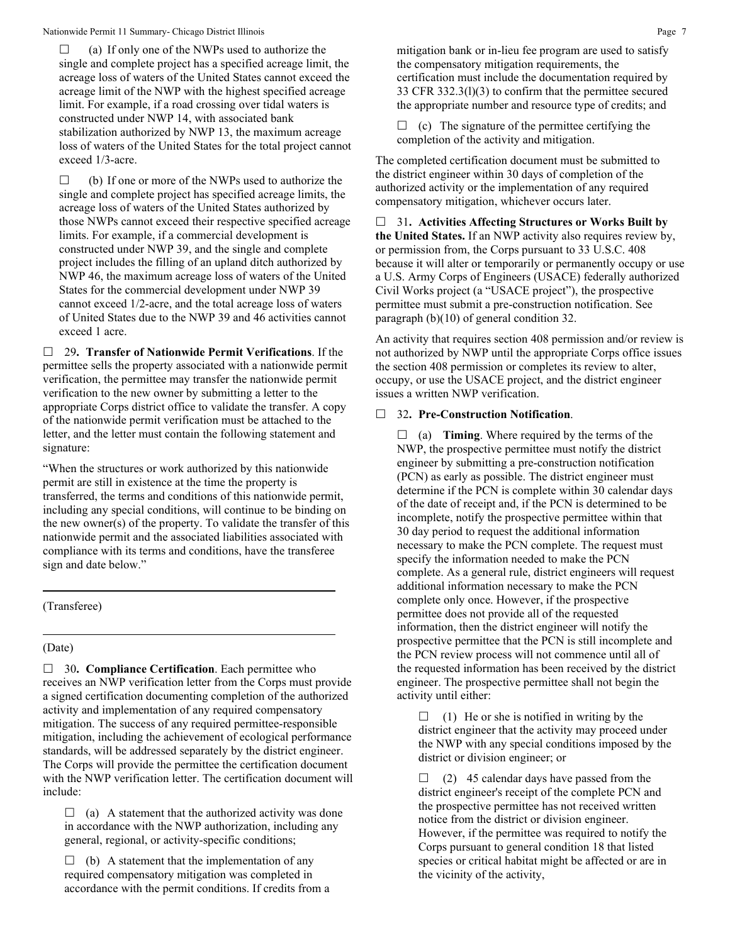$\Box$  (a) If only one of the NWPs used to authorize the single and complete project has a specified acreage limit, the acreage loss of waters of the United States cannot exceed the acreage limit of the NWP with the highest specified acreage limit. For example, if a road crossing over tidal waters is constructed under NWP 14, with associated bank stabilization authorized by NWP 13, the maximum acreage loss of waters of the United States for the total project cannot exceed 1/3-acre.

 $\Box$  (b) If one or more of the NWPs used to authorize the single and complete project has specified acreage limits, the acreage loss of waters of the United States authorized by those NWPs cannot exceed their respective specified acreage limits. For example, if a commercial development is constructed under NWP 39, and the single and complete project includes the filling of an upland ditch authorized by NWP 46, the maximum acreage loss of waters of the United States for the commercial development under NWP 39 cannot exceed 1/2-acre, and the total acreage loss of waters of United States due to the NWP 39 and 46 activities cannot exceed 1 acre.

 29**. Transfer of Nationwide Permit Verifications**. If the permittee sells the property associated with a nationwide permit verification, the permittee may transfer the nationwide permit verification to the new owner by submitting a letter to the appropriate Corps district office to validate the transfer. A copy of the nationwide permit verification must be attached to the letter, and the letter must contain the following statement and signature:

"When the structures or work authorized by this nationwide permit are still in existence at the time the property is transferred, the terms and conditions of this nationwide permit, including any special conditions, will continue to be binding on the new owner(s) of the property. To validate the transfer of this nationwide permit and the associated liabilities associated with compliance with its terms and conditions, have the transferee sign and date below."

## (Transferee)

## (Date)

□ 30. **Compliance Certification**. Each permittee who receives an NWP verification letter from the Corps must provide a signed certification documenting completion of the authorized activity and implementation of any required compensatory mitigation. The success of any required permittee-responsible mitigation, including the achievement of ecological performance standards, will be addressed separately by the district engineer. The Corps will provide the permittee the certification document with the NWP verification letter. The certification document will include:

 $\Box$  (a) A statement that the authorized activity was done in accordance with the NWP authorization, including any general, regional, or activity-specific conditions;

 $\Box$  (b) A statement that the implementation of any required compensatory mitigation was completed in accordance with the permit conditions. If credits from a mitigation bank or in-lieu fee program are used to satisfy the compensatory mitigation requirements, the certification must include the documentation required by 33 CFR 332.3(l)(3) to confirm that the permittee secured the appropriate number and resource type of credits; and

 $\Box$  (c) The signature of the permittee certifying the completion of the activity and mitigation.

The completed certification document must be submitted to the district engineer within 30 days of completion of the authorized activity or the implementation of any required compensatory mitigation, whichever occurs later.

 31**. Activities Affecting Structures or Works Built by the United States.** If an NWP activity also requires review by, or permission from, the Corps pursuant to 33 U.S.C. 408 because it will alter or temporarily or permanently occupy or use a U.S. Army Corps of Engineers (USACE) federally authorized Civil Works project (a "USACE project"), the prospective permittee must submit a pre-construction notification. See paragraph (b)(10) of general condition 32.

An activity that requires section 408 permission and/or review is not authorized by NWP until the appropriate Corps office issues the section 408 permission or completes its review to alter, occupy, or use the USACE project, and the district engineer issues a written NWP verification.

## 32**. Pre-Construction Notification**.

 $\Box$  (a) **Timing**. Where required by the terms of the NWP, the prospective permittee must notify the district engineer by submitting a pre-construction notification (PCN) as early as possible. The district engineer must determine if the PCN is complete within 30 calendar days of the date of receipt and, if the PCN is determined to be incomplete, notify the prospective permittee within that 30 day period to request the additional information necessary to make the PCN complete. The request must specify the information needed to make the PCN complete. As a general rule, district engineers will request additional information necessary to make the PCN complete only once. However, if the prospective permittee does not provide all of the requested information, then the district engineer will notify the prospective permittee that the PCN is still incomplete and the PCN review process will not commence until all of the requested information has been received by the district engineer. The prospective permittee shall not begin the activity until either:

 $\Box$  (1) He or she is notified in writing by the district engineer that the activity may proceed under the NWP with any special conditions imposed by the district or division engineer; or

 $\Box$  (2) 45 calendar days have passed from the district engineer's receipt of the complete PCN and the prospective permittee has not received written notice from the district or division engineer. However, if the permittee was required to notify the Corps pursuant to general condition 18 that listed species or critical habitat might be affected or are in the vicinity of the activity,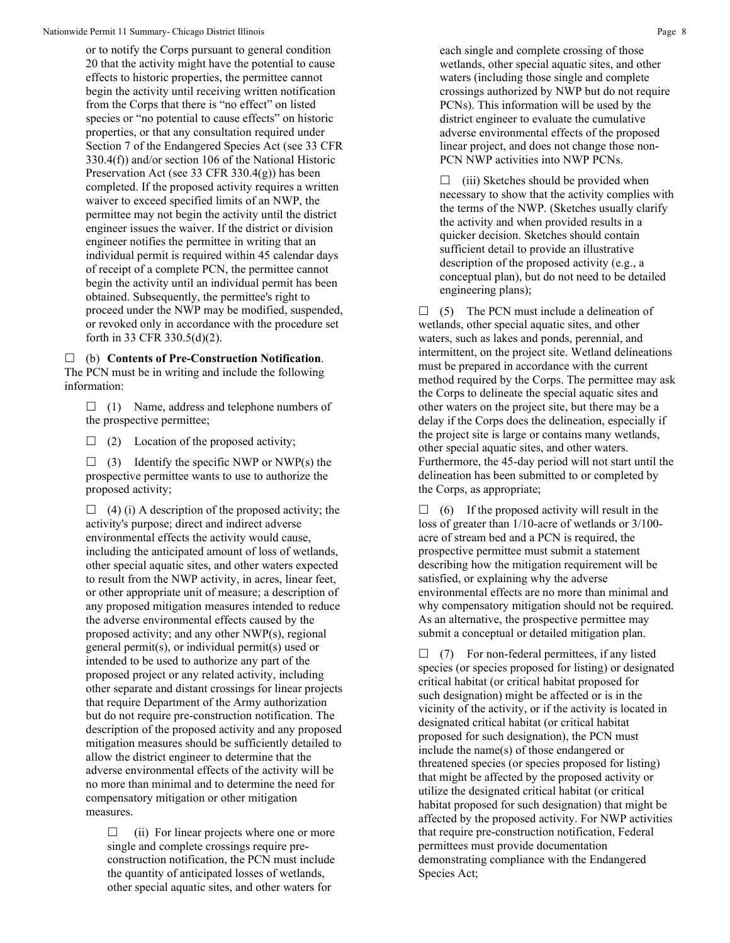or to notify the Corps pursuant to general condition 20 that the activity might have the potential to cause effects to historic properties, the permittee cannot begin the activity until receiving written notification from the Corps that there is "no effect" on listed species or "no potential to cause effects" on historic properties, or that any consultation required under Section 7 of the Endangered Species Act (see 33 CFR 330.4(f)) and/or section 106 of the National Historic Preservation Act (see 33 CFR 330.4(g)) has been completed. If the proposed activity requires a written waiver to exceed specified limits of an NWP, the permittee may not begin the activity until the district engineer issues the waiver. If the district or division engineer notifies the permittee in writing that an individual permit is required within 45 calendar days of receipt of a complete PCN, the permittee cannot begin the activity until an individual permit has been obtained. Subsequently, the permittee's right to proceed under the NWP may be modified, suspended, or revoked only in accordance with the procedure set forth in 33 CFR 330.5(d)(2).

 (b) **Contents of Pre-Construction Notification**. The PCN must be in writing and include the following information:

 $\Box$  (1) Name, address and telephone numbers of the prospective permittee;

 $\Box$  (2) Location of the proposed activity;

 $\Box$  (3) Identify the specific NWP or NWP(s) the prospective permittee wants to use to authorize the proposed activity;

 $\Box$  (4) (i) A description of the proposed activity; the activity's purpose; direct and indirect adverse environmental effects the activity would cause, including the anticipated amount of loss of wetlands, other special aquatic sites, and other waters expected to result from the NWP activity, in acres, linear feet, or other appropriate unit of measure; a description of any proposed mitigation measures intended to reduce the adverse environmental effects caused by the proposed activity; and any other NWP(s), regional general permit(s), or individual permit(s) used or intended to be used to authorize any part of the proposed project or any related activity, including other separate and distant crossings for linear projects that require Department of the Army authorization but do not require pre-construction notification. The description of the proposed activity and any proposed mitigation measures should be sufficiently detailed to allow the district engineer to determine that the adverse environmental effects of the activity will be no more than minimal and to determine the need for compensatory mitigation or other mitigation measures.

 $\Box$  (ii) For linear projects where one or more single and complete crossings require preconstruction notification, the PCN must include the quantity of anticipated losses of wetlands, other special aquatic sites, and other waters for

each single and complete crossing of those wetlands, other special aquatic sites, and other waters (including those single and complete crossings authorized by NWP but do not require PCNs). This information will be used by the district engineer to evaluate the cumulative adverse environmental effects of the proposed linear project, and does not change those non-PCN NWP activities into NWP PCNs.

 $\Box$  (iii) Sketches should be provided when necessary to show that the activity complies with the terms of the NWP. (Sketches usually clarify the activity and when provided results in a quicker decision. Sketches should contain sufficient detail to provide an illustrative description of the proposed activity (e.g., a conceptual plan), but do not need to be detailed engineering plans);

 $\Box$  (5) The PCN must include a delineation of wetlands, other special aquatic sites, and other waters, such as lakes and ponds, perennial, and intermittent, on the project site. Wetland delineations must be prepared in accordance with the current method required by the Corps. The permittee may ask the Corps to delineate the special aquatic sites and other waters on the project site, but there may be a delay if the Corps does the delineation, especially if the project site is large or contains many wetlands, other special aquatic sites, and other waters. Furthermore, the 45-day period will not start until the delineation has been submitted to or completed by the Corps, as appropriate;

 $\Box$  (6) If the proposed activity will result in the loss of greater than 1/10-acre of wetlands or 3/100 acre of stream bed and a PCN is required, the prospective permittee must submit a statement describing how the mitigation requirement will be satisfied, or explaining why the adverse environmental effects are no more than minimal and why compensatory mitigation should not be required. As an alternative, the prospective permittee may submit a conceptual or detailed mitigation plan.

 $\Box$  (7) For non-federal permittees, if any listed species (or species proposed for listing) or designated critical habitat (or critical habitat proposed for such designation) might be affected or is in the vicinity of the activity, or if the activity is located in designated critical habitat (or critical habitat proposed for such designation), the PCN must include the name(s) of those endangered or threatened species (or species proposed for listing) that might be affected by the proposed activity or utilize the designated critical habitat (or critical habitat proposed for such designation) that might be affected by the proposed activity. For NWP activities that require pre-construction notification, Federal permittees must provide documentation demonstrating compliance with the Endangered Species Act;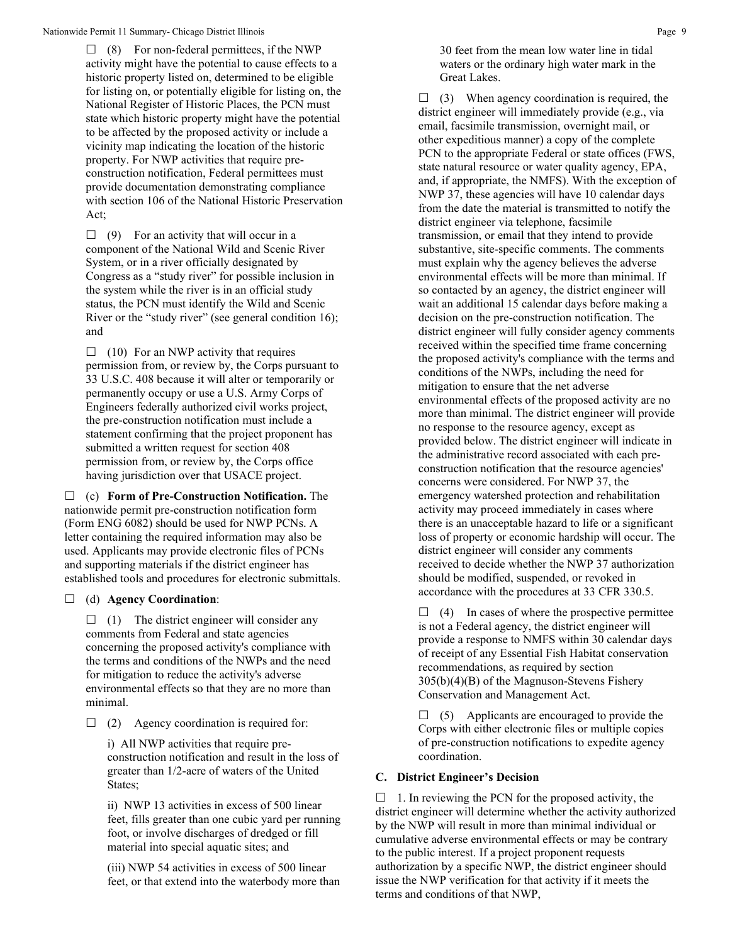$\Box$  (8) For non-federal permittees, if the NWP activity might have the potential to cause effects to a historic property listed on, determined to be eligible for listing on, or potentially eligible for listing on, the National Register of Historic Places, the PCN must state which historic property might have the potential to be affected by the proposed activity or include a vicinity map indicating the location of the historic property. For NWP activities that require preconstruction notification, Federal permittees must provide documentation demonstrating compliance with section 106 of the National Historic Preservation Act;

 $\Box$  (9) For an activity that will occur in a component of the National Wild and Scenic River System, or in a river officially designated by Congress as a "study river" for possible inclusion in the system while the river is in an official study status, the PCN must identify the Wild and Scenic River or the "study river" (see general condition 16); and

 $\Box$  (10) For an NWP activity that requires permission from, or review by, the Corps pursuant to 33 U.S.C. 408 because it will alter or temporarily or permanently occupy or use a U.S. Army Corps of Engineers federally authorized civil works project, the pre-construction notification must include a statement confirming that the project proponent has submitted a written request for section 408 permission from, or review by, the Corps office having jurisdiction over that USACE project.

 (c) **Form of Pre-Construction Notification.** The nationwide permit pre-construction notification form (Form ENG 6082) should be used for NWP PCNs. A letter containing the required information may also be used. Applicants may provide electronic files of PCNs and supporting materials if the district engineer has established tools and procedures for electronic submittals.

# (d) **Agency Coordination**:

 $\Box$  (1) The district engineer will consider any comments from Federal and state agencies concerning the proposed activity's compliance with the terms and conditions of the NWPs and the need for mitigation to reduce the activity's adverse environmental effects so that they are no more than minimal.

 $\Box$  (2) Agency coordination is required for:

i) All NWP activities that require preconstruction notification and result in the loss of greater than 1/2-acre of waters of the United States;

ii) NWP 13 activities in excess of 500 linear feet, fills greater than one cubic yard per running foot, or involve discharges of dredged or fill material into special aquatic sites; and

(iii) NWP 54 activities in excess of 500 linear feet, or that extend into the waterbody more than

30 feet from the mean low water line in tidal waters or the ordinary high water mark in the Great Lakes.

 $\Box$  (3) When agency coordination is required, the district engineer will immediately provide (e.g., via email, facsimile transmission, overnight mail, or other expeditious manner) a copy of the complete PCN to the appropriate Federal or state offices (FWS, state natural resource or water quality agency, EPA, and, if appropriate, the NMFS). With the exception of NWP 37, these agencies will have 10 calendar days from the date the material is transmitted to notify the district engineer via telephone, facsimile transmission, or email that they intend to provide substantive, site-specific comments. The comments must explain why the agency believes the adverse environmental effects will be more than minimal. If so contacted by an agency, the district engineer will wait an additional 15 calendar days before making a decision on the pre-construction notification. The district engineer will fully consider agency comments received within the specified time frame concerning the proposed activity's compliance with the terms and conditions of the NWPs, including the need for mitigation to ensure that the net adverse environmental effects of the proposed activity are no more than minimal. The district engineer will provide no response to the resource agency, except as provided below. The district engineer will indicate in the administrative record associated with each preconstruction notification that the resource agencies' concerns were considered. For NWP 37, the emergency watershed protection and rehabilitation activity may proceed immediately in cases where there is an unacceptable hazard to life or a significant loss of property or economic hardship will occur. The district engineer will consider any comments received to decide whether the NWP 37 authorization should be modified, suspended, or revoked in accordance with the procedures at 33 CFR 330.5.

 $\Box$  (4) In cases of where the prospective permittee is not a Federal agency, the district engineer will provide a response to NMFS within 30 calendar days of receipt of any Essential Fish Habitat conservation recommendations, as required by section 305(b)(4)(B) of the Magnuson-Stevens Fishery Conservation and Management Act.

 $\Box$  (5) Applicants are encouraged to provide the Corps with either electronic files or multiple copies of pre-construction notifications to expedite agency coordination.

# **C. District Engineer's Decision**

 $\Box$  1. In reviewing the PCN for the proposed activity, the district engineer will determine whether the activity authorized by the NWP will result in more than minimal individual or cumulative adverse environmental effects or may be contrary to the public interest. If a project proponent requests authorization by a specific NWP, the district engineer should issue the NWP verification for that activity if it meets the terms and conditions of that NWP,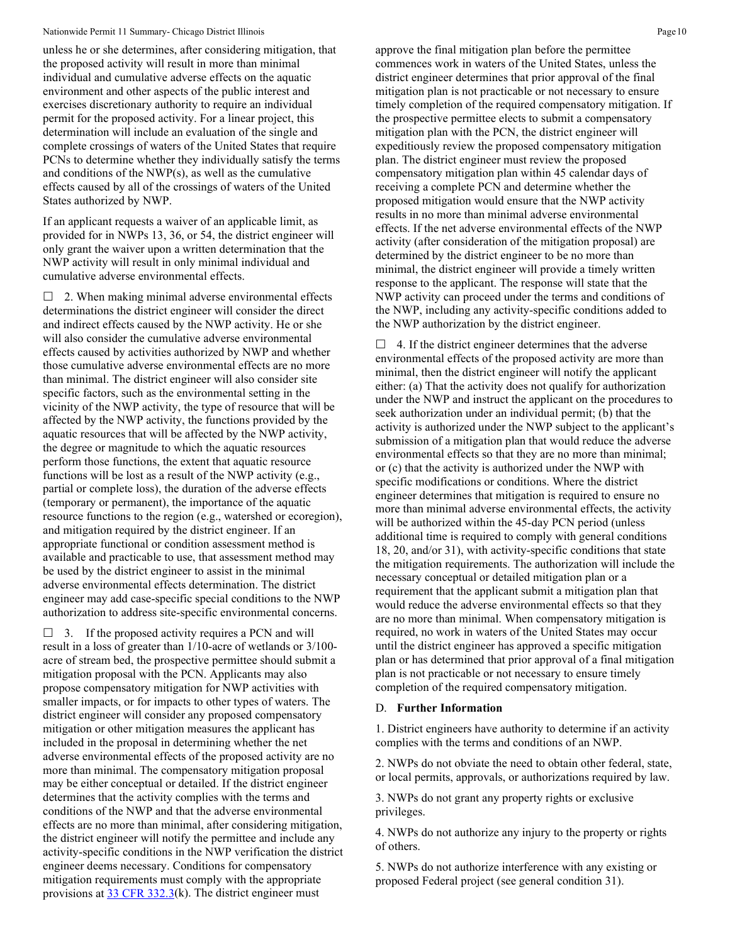unless he or she determines, after considering mitigation, that the proposed activity will result in more than minimal individual and cumulative adverse effects on the aquatic environment and other aspects of the public interest and exercises discretionary authority to require an individual permit for the proposed activity. For a linear project, this determination will include an evaluation of the single and complete crossings of waters of the United States that require PCNs to determine whether they individually satisfy the terms and conditions of the NWP(s), as well as the cumulative effects caused by all of the crossings of waters of the United States authorized by NWP.

If an applicant requests a waiver of an applicable limit, as provided for in NWPs 13, 36, or 54, the district engineer will only grant the waiver upon a written determination that the NWP activity will result in only minimal individual and cumulative adverse environmental effects.

 $\Box$  2. When making minimal adverse environmental effects determinations the district engineer will consider the direct and indirect effects caused by the NWP activity. He or she will also consider the cumulative adverse environmental effects caused by activities authorized by NWP and whether those cumulative adverse environmental effects are no more than minimal. The district engineer will also consider site specific factors, such as the environmental setting in the vicinity of the NWP activity, the type of resource that will be affected by the NWP activity, the functions provided by the aquatic resources that will be affected by the NWP activity, the degree or magnitude to which the aquatic resources perform those functions, the extent that aquatic resource functions will be lost as a result of the NWP activity (e.g., partial or complete loss), the duration of the adverse effects (temporary or permanent), the importance of the aquatic resource functions to the region (e.g., watershed or ecoregion), and mitigation required by the district engineer. If an appropriate functional or condition assessment method is available and practicable to use, that assessment method may be used by the district engineer to assist in the minimal adverse environmental effects determination. The district engineer may add case-specific special conditions to the NWP authorization to address site-specific environmental concerns.

 $\Box$  3. If the proposed activity requires a PCN and will result in a loss of greater than 1/10-acre of wetlands or 3/100 acre of stream bed, the prospective permittee should submit a mitigation proposal with the PCN. Applicants may also propose compensatory mitigation for NWP activities with smaller impacts, or for impacts to other types of waters. The district engineer will consider any proposed compensatory mitigation or other mitigation measures the applicant has included in the proposal in determining whether the net adverse environmental effects of the proposed activity are no more than minimal. The compensatory mitigation proposal may be either conceptual or detailed. If the district engineer determines that the activity complies with the terms and conditions of the NWP and that the adverse environmental effects are no more than minimal, after considering mitigation, the district engineer will notify the permittee and include any activity-specific conditions in the NWP verification the district engineer deems necessary. Conditions for compensatory mitigation requirements must comply with the appropriate provisions at  $33 \text{ CFR } 332.3(k)$ . The district engineer must

approve the final mitigation plan before the permittee commences work in waters of the United States, unless the district engineer determines that prior approval of the final mitigation plan is not practicable or not necessary to ensure timely completion of the required compensatory mitigation. If the prospective permittee elects to submit a compensatory mitigation plan with the PCN, the district engineer will expeditiously review the proposed compensatory mitigation plan. The district engineer must review the proposed compensatory mitigation plan within 45 calendar days of receiving a complete PCN and determine whether the proposed mitigation would ensure that the NWP activity results in no more than minimal adverse environmental effects. If the net adverse environmental effects of the NWP activity (after consideration of the mitigation proposal) are determined by the district engineer to be no more than minimal, the district engineer will provide a timely written response to the applicant. The response will state that the NWP activity can proceed under the terms and conditions of the NWP, including any activity-specific conditions added to the NWP authorization by the district engineer.

 $\Box$  4. If the district engineer determines that the adverse environmental effects of the proposed activity are more than minimal, then the district engineer will notify the applicant either: (a) That the activity does not qualify for authorization under the NWP and instruct the applicant on the procedures to seek authorization under an individual permit; (b) that the activity is authorized under the NWP subject to the applicant's submission of a mitigation plan that would reduce the adverse environmental effects so that they are no more than minimal; or (c) that the activity is authorized under the NWP with specific modifications or conditions. Where the district engineer determines that mitigation is required to ensure no more than minimal adverse environmental effects, the activity will be authorized within the 45-day PCN period (unless additional time is required to comply with general conditions 18, 20, and/or 31), with activity-specific conditions that state the mitigation requirements. The authorization will include the necessary conceptual or detailed mitigation plan or a requirement that the applicant submit a mitigation plan that would reduce the adverse environmental effects so that they are no more than minimal. When compensatory mitigation is required, no work in waters of the United States may occur until the district engineer has approved a specific mitigation plan or has determined that prior approval of a final mitigation plan is not practicable or not necessary to ensure timely completion of the required compensatory mitigation.

## D. **Further Information**

1. District engineers have authority to determine if an activity complies with the terms and conditions of an NWP.

2. NWPs do not obviate the need to obtain other federal, state, or local permits, approvals, or authorizations required by law.

3. NWPs do not grant any property rights or exclusive privileges.

4. NWPs do not authorize any injury to the property or rights of others.

5. NWPs do not authorize interference with any existing or proposed Federal project (see general condition 31).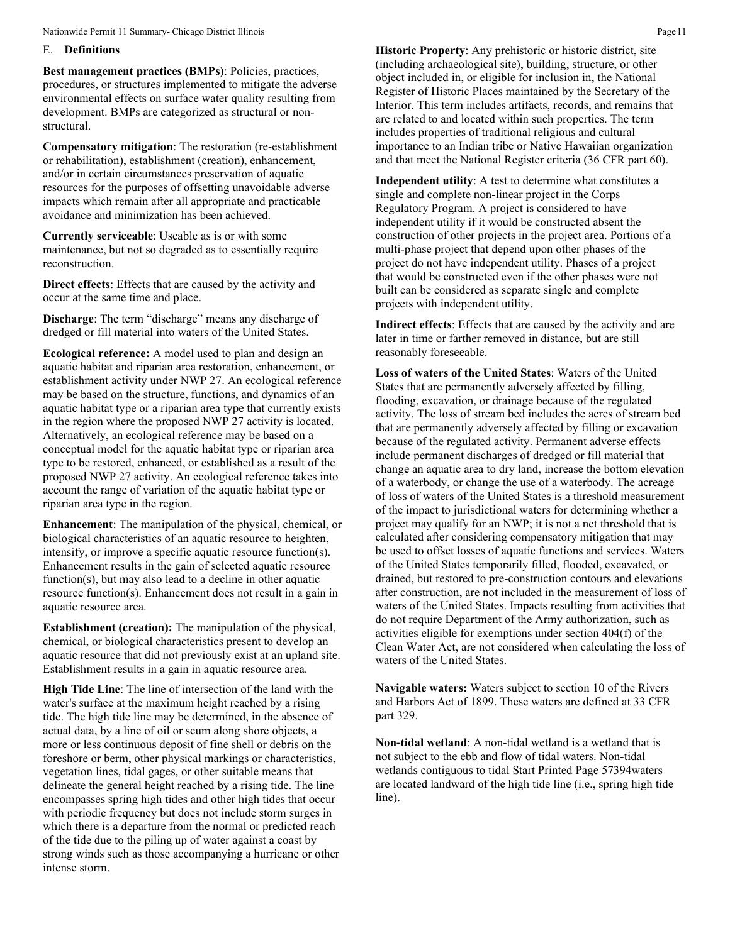## E. **Definitions**

**Best management practices (BMPs)**: Policies, practices, procedures, or structures implemented to mitigate the adverse environmental effects on surface water quality resulting from development. BMPs are categorized as structural or nonstructural.

**Compensatory mitigation**: The restoration (re-establishment or rehabilitation), establishment (creation), enhancement, and/or in certain circumstances preservation of aquatic resources for the purposes of offsetting unavoidable adverse impacts which remain after all appropriate and practicable avoidance and minimization has been achieved.

**Currently serviceable**: Useable as is or with some maintenance, but not so degraded as to essentially require reconstruction.

**Direct effects**: Effects that are caused by the activity and occur at the same time and place.

**Discharge**: The term "discharge" means any discharge of dredged or fill material into waters of the United States.

**Ecological reference:** A model used to plan and design an aquatic habitat and riparian area restoration, enhancement, or establishment activity under NWP 27. An ecological reference may be based on the structure, functions, and dynamics of an aquatic habitat type or a riparian area type that currently exists in the region where the proposed NWP 27 activity is located. Alternatively, an ecological reference may be based on a conceptual model for the aquatic habitat type or riparian area type to be restored, enhanced, or established as a result of the proposed NWP 27 activity. An ecological reference takes into account the range of variation of the aquatic habitat type or riparian area type in the region.

**Enhancement**: The manipulation of the physical, chemical, or biological characteristics of an aquatic resource to heighten, intensify, or improve a specific aquatic resource function(s). Enhancement results in the gain of selected aquatic resource function(s), but may also lead to a decline in other aquatic resource function(s). Enhancement does not result in a gain in aquatic resource area.

**Establishment (creation):** The manipulation of the physical, chemical, or biological characteristics present to develop an aquatic resource that did not previously exist at an upland site. Establishment results in a gain in aquatic resource area.

**High Tide Line**: The line of intersection of the land with the water's surface at the maximum height reached by a rising tide. The high tide line may be determined, in the absence of actual data, by a line of oil or scum along shore objects, a more or less continuous deposit of fine shell or debris on the foreshore or berm, other physical markings or characteristics, vegetation lines, tidal gages, or other suitable means that delineate the general height reached by a rising tide. The line encompasses spring high tides and other high tides that occur with periodic frequency but does not include storm surges in which there is a departure from the normal or predicted reach of the tide due to the piling up of water against a coast by strong winds such as those accompanying a hurricane or other intense storm.

**Historic Property**: Any prehistoric or historic district, site (including archaeological site), building, structure, or other object included in, or eligible for inclusion in, the National Register of Historic Places maintained by the Secretary of the Interior. This term includes artifacts, records, and remains that are related to and located within such properties. The term includes properties of traditional religious and cultural importance to an Indian tribe or Native Hawaiian organization and that meet the National Register criteria (36 CFR part 60).

**Independent utility**: A test to determine what constitutes a single and complete non-linear project in the Corps Regulatory Program. A project is considered to have independent utility if it would be constructed absent the construction of other projects in the project area. Portions of a multi-phase project that depend upon other phases of the project do not have independent utility. Phases of a project that would be constructed even if the other phases were not built can be considered as separate single and complete projects with independent utility.

**Indirect effects**: Effects that are caused by the activity and are later in time or farther removed in distance, but are still reasonably foreseeable.

**Loss of waters of the United States**: Waters of the United States that are permanently adversely affected by filling, flooding, excavation, or drainage because of the regulated activity. The loss of stream bed includes the acres of stream bed that are permanently adversely affected by filling or excavation because of the regulated activity. Permanent adverse effects include permanent discharges of dredged or fill material that change an aquatic area to dry land, increase the bottom elevation of a waterbody, or change the use of a waterbody. The acreage of loss of waters of the United States is a threshold measurement of the impact to jurisdictional waters for determining whether a project may qualify for an NWP; it is not a net threshold that is calculated after considering compensatory mitigation that may be used to offset losses of aquatic functions and services. Waters of the United States temporarily filled, flooded, excavated, or drained, but restored to pre-construction contours and elevations after construction, are not included in the measurement of loss of waters of the United States. Impacts resulting from activities that do not require Department of the Army authorization, such as activities eligible for exemptions under section 404(f) of the Clean Water Act, are not considered when calculating the loss of waters of the United States.

**Navigable waters:** Waters subject to section 10 of the Rivers and Harbors Act of 1899. These waters are defined at 33 CFR part 329.

**Non-tidal wetland**: A non-tidal wetland is a wetland that is not subject to the ebb and flow of tidal waters. Non-tidal wetlands contiguous to tidal Start Printed Page 57394waters are located landward of the high tide line (i.e., spring high tide line).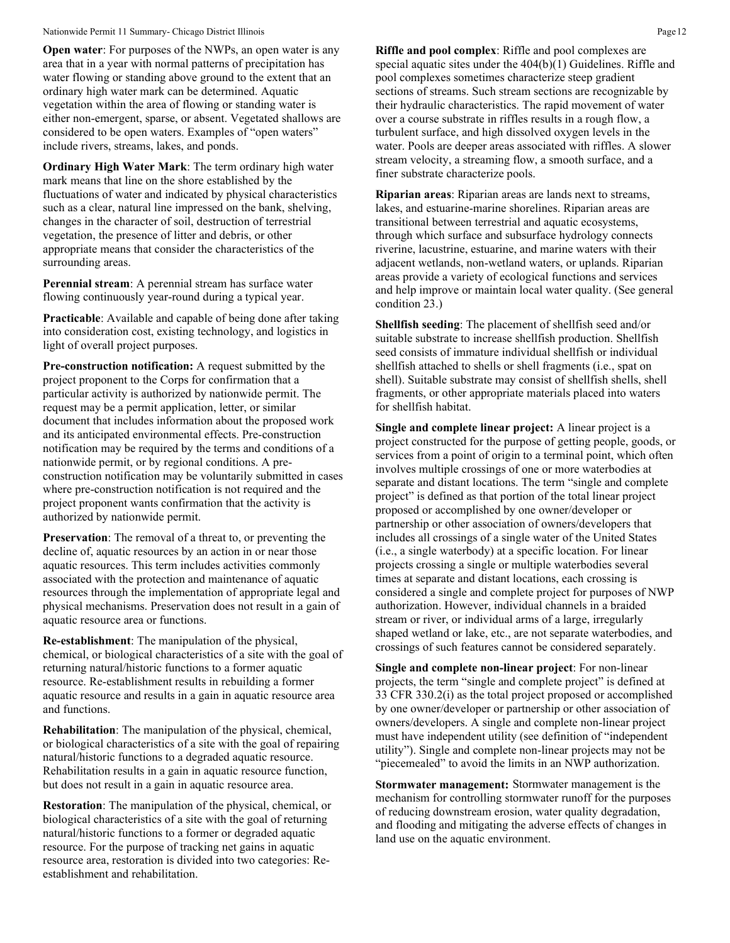**Open water:** For purposes of the NWPs, an open water is any area that in a year with normal patterns of precipitation has water flowing or standing above ground to the extent that an ordinary high water mark can be determined. Aquatic vegetation within the area of flowing or standing water is either non-emergent, sparse, or absent. Vegetated shallows are considered to be open waters. Examples of "open waters" include rivers, streams, lakes, and ponds.

**Ordinary High Water Mark**: The term ordinary high water mark means that line on the shore established by the fluctuations of water and indicated by physical characteristics such as a clear, natural line impressed on the bank, shelving, changes in the character of soil, destruction of terrestrial vegetation, the presence of litter and debris, or other appropriate means that consider the characteristics of the surrounding areas.

**Perennial stream**: A perennial stream has surface water flowing continuously year-round during a typical year.

**Practicable**: Available and capable of being done after taking into consideration cost, existing technology, and logistics in light of overall project purposes.

**Pre-construction notification:** A request submitted by the project proponent to the Corps for confirmation that a particular activity is authorized by nationwide permit. The request may be a permit application, letter, or similar document that includes information about the proposed work and its anticipated environmental effects. Pre-construction notification may be required by the terms and conditions of a nationwide permit, or by regional conditions. A preconstruction notification may be voluntarily submitted in cases where pre-construction notification is not required and the project proponent wants confirmation that the activity is authorized by nationwide permit.

**Preservation**: The removal of a threat to, or preventing the decline of, aquatic resources by an action in or near those aquatic resources. This term includes activities commonly associated with the protection and maintenance of aquatic resources through the implementation of appropriate legal and physical mechanisms. Preservation does not result in a gain of aquatic resource area or functions.

**Re-establishment**: The manipulation of the physical, chemical, or biological characteristics of a site with the goal of returning natural/historic functions to a former aquatic resource. Re-establishment results in rebuilding a former aquatic resource and results in a gain in aquatic resource area and functions.

**Rehabilitation**: The manipulation of the physical, chemical, or biological characteristics of a site with the goal of repairing natural/historic functions to a degraded aquatic resource. Rehabilitation results in a gain in aquatic resource function, but does not result in a gain in aquatic resource area.

**Restoration**: The manipulation of the physical, chemical, or biological characteristics of a site with the goal of returning natural/historic functions to a former or degraded aquatic resource. For the purpose of tracking net gains in aquatic resource area, restoration is divided into two categories: Reestablishment and rehabilitation.

**Riffle and pool complex**: Riffle and pool complexes are special aquatic sites under the 404(b)(1) Guidelines. Riffle and pool complexes sometimes characterize steep gradient sections of streams. Such stream sections are recognizable by their hydraulic characteristics. The rapid movement of water over a course substrate in riffles results in a rough flow, a turbulent surface, and high dissolved oxygen levels in the water. Pools are deeper areas associated with riffles. A slower stream velocity, a streaming flow, a smooth surface, and a finer substrate characterize pools.

**Riparian areas**: Riparian areas are lands next to streams, lakes, and estuarine-marine shorelines. Riparian areas are transitional between terrestrial and aquatic ecosystems, through which surface and subsurface hydrology connects riverine, lacustrine, estuarine, and marine waters with their adjacent wetlands, non-wetland waters, or uplands. Riparian areas provide a variety of ecological functions and services and help improve or maintain local water quality. (See general condition 23.)

**Shellfish seeding**: The placement of shellfish seed and/or suitable substrate to increase shellfish production. Shellfish seed consists of immature individual shellfish or individual shellfish attached to shells or shell fragments (i.e., spat on shell). Suitable substrate may consist of shellfish shells, shell fragments, or other appropriate materials placed into waters for shellfish habitat.

**Single and complete linear project:** A linear project is a project constructed for the purpose of getting people, goods, or services from a point of origin to a terminal point, which often involves multiple crossings of one or more waterbodies at separate and distant locations. The term "single and complete project" is defined as that portion of the total linear project proposed or accomplished by one owner/developer or partnership or other association of owners/developers that includes all crossings of a single water of the United States (i.e., a single waterbody) at a specific location. For linear projects crossing a single or multiple waterbodies several times at separate and distant locations, each crossing is considered a single and complete project for purposes of NWP authorization. However, individual channels in a braided stream or river, or individual arms of a large, irregularly shaped wetland or lake, etc., are not separate waterbodies, and crossings of such features cannot be considered separately.

**Single and complete non-linear project**: For non-linear projects, the term "single and complete project" is defined at 33 CFR 330.2(i) as the total project proposed or accomplished by one owner/developer or partnership or other association of owners/developers. A single and complete non-linear project must have independent utility (see definition of "independent utility"). Single and complete non-linear projects may not be "piecemealed" to avoid the limits in an NWP authorization.

**Stormwater management:** Stormwater management is the mechanism for controlling stormwater runoff for the purposes of reducing downstream erosion, water quality degradation, and flooding and mitigating the adverse effects of changes in land use on the aquatic environment.